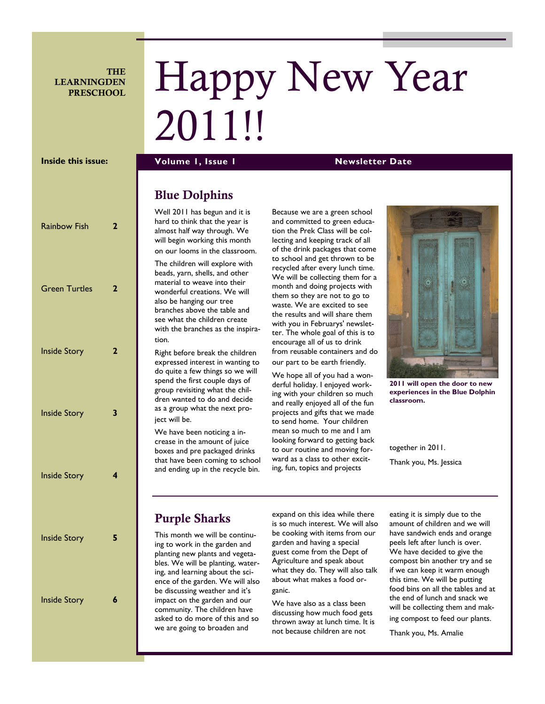### **THE** LEARNINGDEN **PRESCHOOL**

# Happy New Year 2011!!

## **Inside this issue:**

| <b>Rainbow Fish</b>  | 2                       |
|----------------------|-------------------------|
| <b>Green Turtles</b> | $\mathbf{z}$            |
| <b>Inside Story</b>  | $\overline{2}$          |
| <b>Inside Story</b>  | $\overline{\mathbf{3}}$ |
| <b>Inside Story</b>  | $\overline{\mathbf{4}}$ |
| <b>Inside Story</b>  | 5                       |
| <b>Inside Story</b>  | 6                       |

**Volume 1, Issue 1 Access 2018 19 Newsletter Date** 

# Blue Dolphins

Well 2011 has begun and it is hard to think that the year is almost half way through. We will begin working this month on our looms in the classroom.

The children will explore with beads, yarn, shells, and other material to weave into their wonderful creations. We will also be hanging our tree branches above the table and see what the children create with the branches as the inspiration.

Right before break the children expressed interest in wanting to do quite a few things so we will spend the first couple days of group revisiting what the children wanted to do and decide as a group what the next project will be.

We have been noticing a increase in the amount of juice boxes and pre packaged drinks that have been coming to school and ending up in the recycle bin.

Because we are a green school and committed to green education the Prek Class will be collecting and keeping track of all of the drink packages that come to school and get thrown to be recycled after every lunch time. We will be collecting them for a month and doing projects with them so they are not to go to waste. We are excited to see the results and will share them with you in Februarys' newsletter. The whole goal of this is to encourage all of us to drink from reusable containers and do our part to be earth friendly.

We hope all of you had a wonderful holiday. I enjoyed working with your children so much and really enjoyed all of the fun projects and gifts that we made to send home. Your children mean so much to me and I am looking forward to getting back to our routine and moving forward as a class to other exciting, fun, topics and projects



**2011 will open the door to new experiences in the Blue Dolphin classroom.** 

together in 2011.

Thank you, Ms. Jessica

# Purple Sharks

This month we will be continuing to work in the garden and planting new plants and vegetables. We will be planting, watering, and learning about the science of the garden. We will also be discussing weather and it's impact on the garden and our community. The children have asked to do more of this and so we are going to broaden and

expand on this idea while there is so much interest. We will also be cooking with items from our garden and having a special guest come from the Dept of Agriculture and speak about what they do. They will also talk about what makes a food organic.

We have also as a class been discussing how much food gets thrown away at lunch time. It is not because children are not

eating it is simply due to the amount of children and we will have sandwich ends and orange peels left after lunch is over. We have decided to give the compost bin another try and se if we can keep it warm enough this time. We will be putting food bins on all the tables and at the end of lunch and snack we will be collecting them and making compost to feed our plants.

Thank you, Ms. Amalie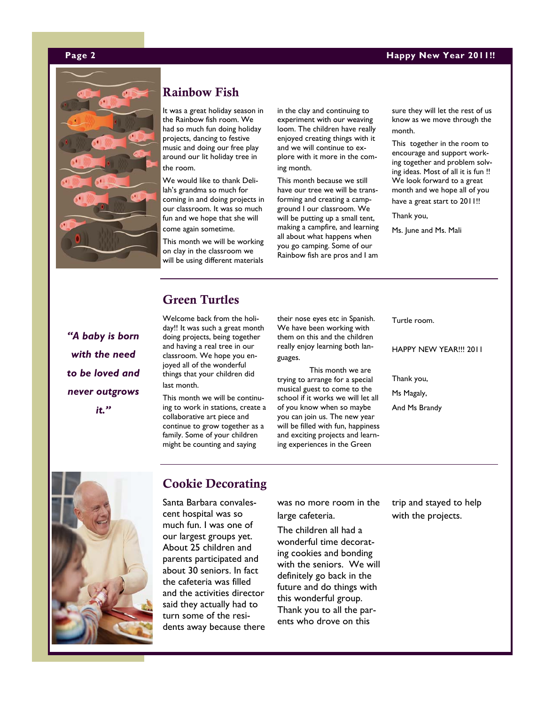#### Page 2 **Happy New Year 2011!!**



# Rainbow Fish

It was a great holiday season in the Rainbow fish room. We had so much fun doing holiday projects, dancing to festive music and doing our free play around our lit holiday tree in the room.

We would like to thank Delilah's grandma so much for coming in and doing projects in our classroom. It was so much fun and we hope that she will come again sometime.

This month we will be working on clay in the classroom we will be using different materials in the clay and continuing to experiment with our weaving loom. The children have really enjoyed creating things with it and we will continue to explore with it more in the coming month.

This month because we still have our tree we will be transforming and creating a campground I our classroom. We will be putting up a small tent, making a campfire, and learning all about what happens when you go camping. Some of our Rainbow fish are pros and I am

sure they will let the rest of us know as we move through the month.

This together in the room to encourage and support working together and problem solving ideas. Most of all it is fun !! We look forward to a great month and we hope all of you have a great start to 2011!!

Thank you,

Ms. June and Ms. Mali

*"A baby is born with the need to be loved and never outgrows it."* 

# Green Turtles

Welcome back from the holiday!! It was such a great month doing projects, being together and having a real tree in our classroom. We hope you enjoyed all of the wonderful things that your children did last month.

This month we will be continuing to work in stations, create a collaborative art piece and continue to grow together as a family. Some of your children might be counting and saying

their nose eyes etc in Spanish. We have been working with them on this and the children really enjoy learning both languages.

 This month we are trying to arrange for a special musical guest to come to the school if it works we will let all of you know when so maybe you can join us. The new year will be filled with fun, happiness and exciting projects and learning experiences in the Green

Turtle room.

HAPPY NEW YEAR!!! 2011

Thank you,

Ms Magaly,

And Ms Brandy



## Cookie Decorating

Santa Barbara convalescent hospital was so much fun. I was one of our largest groups yet. About 25 children and parents participated and about 30 seniors. In fact the cafeteria was filled and the activities director said they actually had to turn some of the residents away because there was no more room in the large cafeteria.

The children all had a wonderful time decorating cookies and bonding with the seniors. We will definitely go back in the future and do things with this wonderful group. Thank you to all the parents who drove on this

trip and stayed to help with the projects.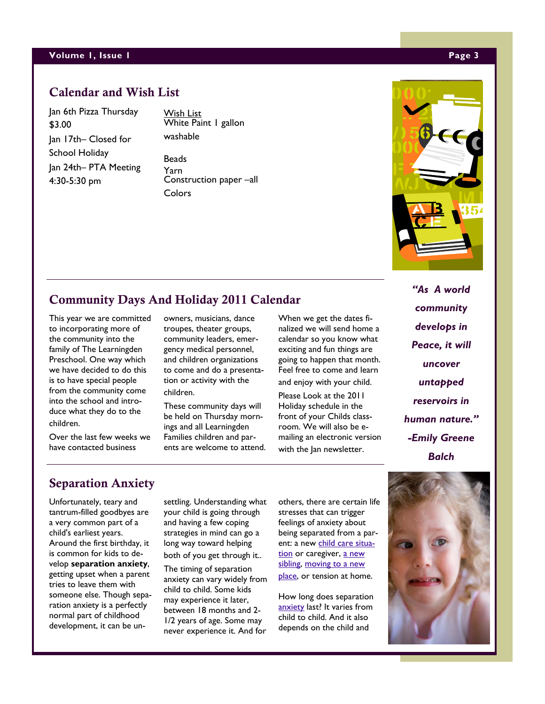#### **Volume 1, Issue 1 Page 3**

## Calendar and Wish List

Jan 6th Pizza Thursday \$3.00 Jan 17th– Closed for School Holiday Jan 24th– PTA Meeting 4:30-5:30 pm

Wish List White Paint 1 gallon washable

**Beads** Yarn Construction paper –all **Colors** 



# Community Days And Holiday 2011 Calendar

This year we are committed to incorporating more of the community into the family of The Learningden Preschool. One way which we have decided to do this is to have special people from the community come into the school and introduce what they do to the children.

Over the last few weeks we have contacted business

owners, musicians, dance troupes, theater groups, community leaders, emergency medical personnel, and children organizations to come and do a presentation or activity with the children.

These community days will be held on Thursday mornings and all Learningden Families children and parents are welcome to attend. When we get the dates finalized we will send home a calendar so you know what exciting and fun things are going to happen that month. Feel free to come and learn

and enjoy with your child.

Please Look at the 2011 Holiday schedule in the front of your Childs classroom. We will also be emailing an electronic version with the Jan newsletter.

*"As A world community develops in Peace, it will uncover untapped reservoirs in human nature." -Emily Greene Balch* 

# Separation Anxiety

Unfortunately, teary and tantrum-filled goodbyes are a very common part of a child's earliest years. Around the first birthday, it is common for kids to develop **separation anxiety**, getting upset when a parent tries to leave them with someone else. Though separation anxiety is a perfectly normal part of childhood development, it can be unsettling. Understanding what your child is going through and having a few coping strategies in mind can go a long way toward helping both of you get through it..

The timing of separation anxiety can vary widely from child to child. Some kids may experience it later, between 18 months and 2- 1/2 years of age. Some may never experience it. And for

others, there are certain life stresses that can trigger feelings of anxiety about being separated from a parent: a new child care situation or caregiver, a new sibling, moving to a new place, or tension at home.

How long does separation anxiety last? It varies from child to child. And it also depends on the child and